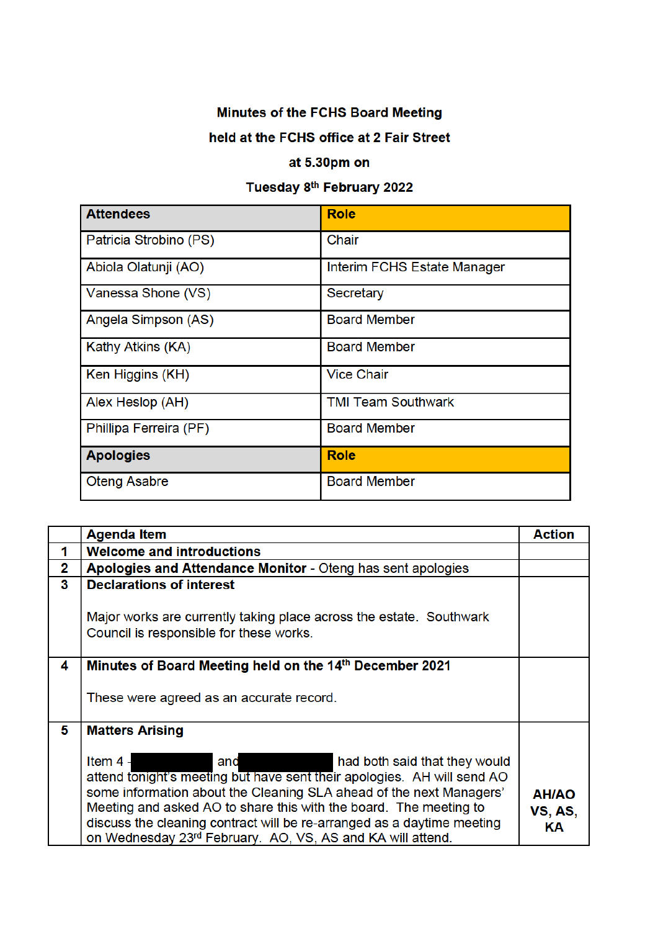## Minutes of the FCHS Board Meeting

## held at the FCHS office at 2 Fair Street

## at 5.30pm on

## Tuesday 8<sup>th</sup> February 2022

| <b>Attendees</b>       | <b>Role</b>                 |
|------------------------|-----------------------------|
| Patricia Strobino (PS) | Chair                       |
| Abiola Olatunji (AO)   | Interim FCHS Estate Manager |
| Vanessa Shone (VS)     | Secretary                   |
| Angela Simpson (AS)    | <b>Board Member</b>         |
| Kathy Atkins (KA)      | <b>Board Member</b>         |
| Ken Higgins (KH)       | <b>Vice Chair</b>           |
| Alex Heslop (AH)       | <b>TMI Team Southwark</b>   |
| Phillipa Ferreira (PF) | <b>Board Member</b>         |
| <b>Apologies</b>       | <b>Role</b>                 |
| <b>Oteng Asabre</b>    | <b>Board Member</b>         |

|                | <b>Agenda Item</b>                                                                                                                                                                                                                                                                                                                                                                                                | <b>Action</b>                 |
|----------------|-------------------------------------------------------------------------------------------------------------------------------------------------------------------------------------------------------------------------------------------------------------------------------------------------------------------------------------------------------------------------------------------------------------------|-------------------------------|
| 1              | <b>Welcome and introductions</b>                                                                                                                                                                                                                                                                                                                                                                                  |                               |
| $\overline{2}$ | Apologies and Attendance Monitor - Oteng has sent apologies                                                                                                                                                                                                                                                                                                                                                       |                               |
| 3              | <b>Declarations of interest</b>                                                                                                                                                                                                                                                                                                                                                                                   |                               |
|                | Major works are currently taking place across the estate. Southwark<br>Council is responsible for these works.                                                                                                                                                                                                                                                                                                    |                               |
| 4              | Minutes of Board Meeting held on the 14th December 2021                                                                                                                                                                                                                                                                                                                                                           |                               |
|                | These were agreed as an accurate record.                                                                                                                                                                                                                                                                                                                                                                          |                               |
| 5              | <b>Matters Arising</b>                                                                                                                                                                                                                                                                                                                                                                                            |                               |
|                | Item $4 -$<br>had both said that they would<br>and<br>attend tonight's meeting but have sent their apologies. AH will send AO<br>some information about the Cleaning SLA ahead of the next Managers'<br>Meeting and asked AO to share this with the board. The meeting to<br>discuss the cleaning contract will be re-arranged as a daytime meeting<br>on Wednesday 23rd February. AO, VS, AS and KA will attend. | <b>AH/AO</b><br>VS, AS,<br>ΚA |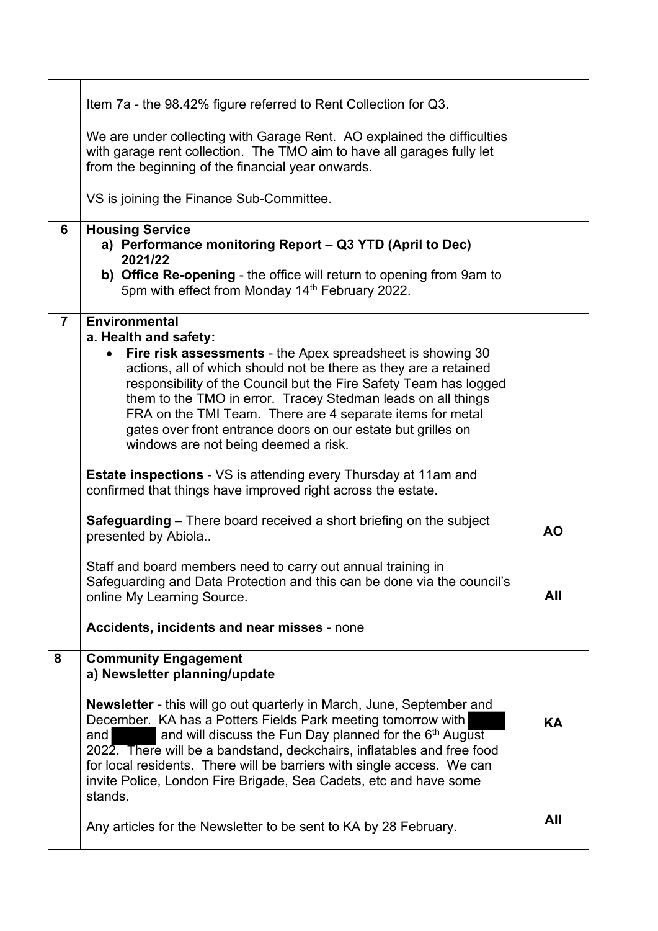| Item 7a - the 98.42% figure referred to Rent Collection for Q3.                                                                                                                                                                                                                                                                                                                                                                                                                                        |           |
|--------------------------------------------------------------------------------------------------------------------------------------------------------------------------------------------------------------------------------------------------------------------------------------------------------------------------------------------------------------------------------------------------------------------------------------------------------------------------------------------------------|-----------|
| We are under collecting with Garage Rent. AO explained the difficulties<br>with garage rent collection. The TMO aim to have all garages fully let<br>from the beginning of the financial year onwards.                                                                                                                                                                                                                                                                                                 |           |
| VS is joining the Finance Sub-Committee.                                                                                                                                                                                                                                                                                                                                                                                                                                                               |           |
| <b>Housing Service</b><br>a) Performance monitoring Report - Q3 YTD (April to Dec)<br>2021/22<br>b) Office Re-opening - the office will return to opening from 9am to<br>5pm with effect from Monday 14th February 2022.                                                                                                                                                                                                                                                                               |           |
| <b>Environmental</b><br>a. Health and safety:<br>Fire risk assessments - the Apex spreadsheet is showing 30<br>$\bullet$<br>actions, all of which should not be there as they are a retained<br>responsibility of the Council but the Fire Safety Team has logged<br>them to the TMO in error. Tracey Stedman leads on all things<br>FRA on the TMI Team. There are 4 separate items for metal<br>gates over front entrance doors on our estate but grilles on<br>windows are not being deemed a risk. |           |
| <b>Estate inspections - VS is attending every Thursday at 11am and</b><br>confirmed that things have improved right across the estate.                                                                                                                                                                                                                                                                                                                                                                 |           |
| <b>Safeguarding</b> – There board received a short briefing on the subject<br>presented by Abiola                                                                                                                                                                                                                                                                                                                                                                                                      | <b>AO</b> |
| Staff and board members need to carry out annual training in<br>Safeguarding and Data Protection and this can be done via the council's<br>online My Learning Source.                                                                                                                                                                                                                                                                                                                                  | All       |
| Accidents, incidents and near misses - none                                                                                                                                                                                                                                                                                                                                                                                                                                                            |           |
| <b>Community Engagement</b><br>a) Newsletter planning/update                                                                                                                                                                                                                                                                                                                                                                                                                                           |           |
| <b>Newsletter</b> - this will go out quarterly in March, June, September and<br>December. KA has a Potters Fields Park meeting tomorrow with<br>and will discuss the Fun Day planned for the 6 <sup>th</sup> August<br>and<br>2022. There will be a bandstand, deckchairs, inflatables and free food<br>for local residents. There will be barriers with single access. We can<br>invite Police, London Fire Brigade, Sea Cadets, etc and have some<br>stands.                                         | KA        |
| Any articles for the Newsletter to be sent to KA by 28 February.                                                                                                                                                                                                                                                                                                                                                                                                                                       | All       |
|                                                                                                                                                                                                                                                                                                                                                                                                                                                                                                        |           |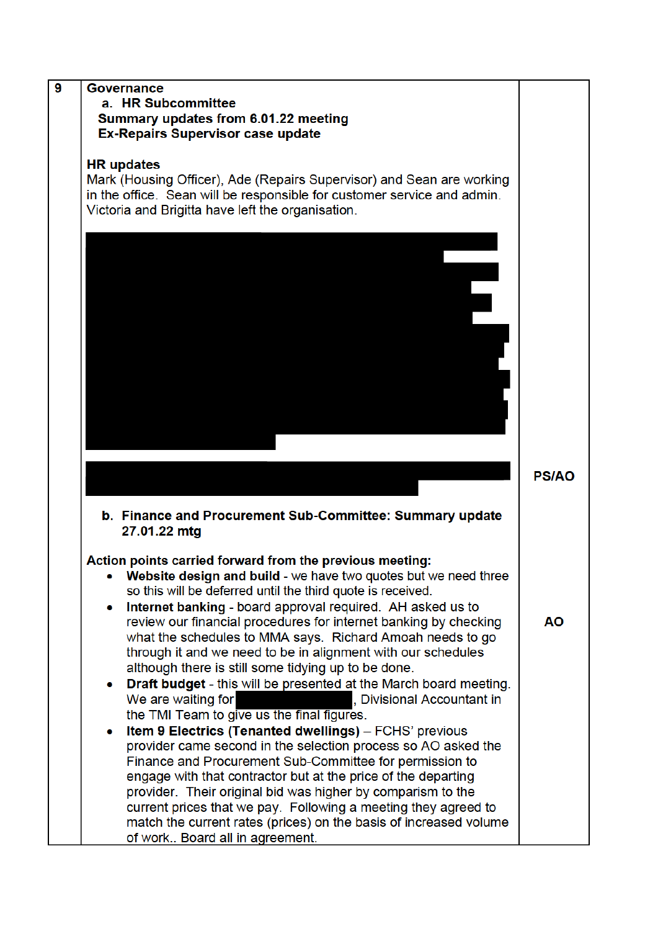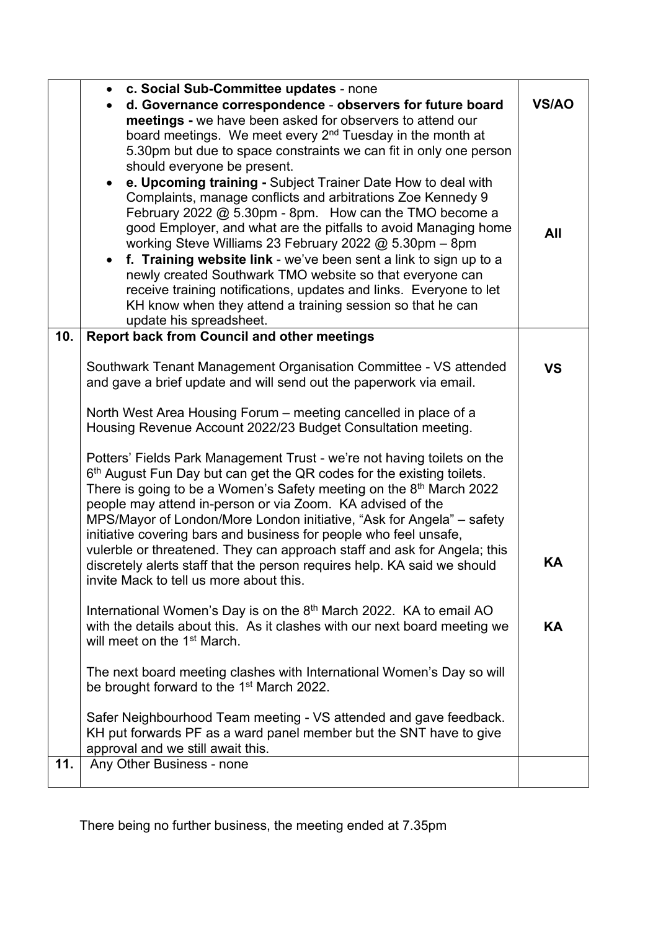|     | c. Social Sub-Committee updates - none<br>d. Governance correspondence - observers for future board                                                                                                                                                                                                                                                                                                                                                                                                                                                                                                                                                                                                                                                                                                                                                                         |           |
|-----|-----------------------------------------------------------------------------------------------------------------------------------------------------------------------------------------------------------------------------------------------------------------------------------------------------------------------------------------------------------------------------------------------------------------------------------------------------------------------------------------------------------------------------------------------------------------------------------------------------------------------------------------------------------------------------------------------------------------------------------------------------------------------------------------------------------------------------------------------------------------------------|-----------|
|     | meetings - we have been asked for observers to attend our<br>board meetings. We meet every 2 <sup>nd</sup> Tuesday in the month at<br>5.30pm but due to space constraints we can fit in only one person<br>should everyone be present.<br>e. Upcoming training - Subject Trainer Date How to deal with<br>Complaints, manage conflicts and arbitrations Zoe Kennedy 9<br>February 2022 $@$ 5.30pm - 8pm. How can the TMO become a<br>good Employer, and what are the pitfalls to avoid Managing home<br>working Steve Williams 23 February 2022 @ 5.30pm - 8pm<br>f. Training website link - we've been sent a link to sign up to a<br>$\bullet$<br>newly created Southwark TMO website so that everyone can<br>receive training notifications, updates and links. Everyone to let<br>KH know when they attend a training session so that he can<br>update his spreadsheet. | All       |
| 10. | <b>Report back from Council and other meetings</b>                                                                                                                                                                                                                                                                                                                                                                                                                                                                                                                                                                                                                                                                                                                                                                                                                          |           |
|     | Southwark Tenant Management Organisation Committee - VS attended<br>and gave a brief update and will send out the paperwork via email.                                                                                                                                                                                                                                                                                                                                                                                                                                                                                                                                                                                                                                                                                                                                      | <b>VS</b> |
|     | North West Area Housing Forum – meeting cancelled in place of a<br>Housing Revenue Account 2022/23 Budget Consultation meeting.                                                                                                                                                                                                                                                                                                                                                                                                                                                                                                                                                                                                                                                                                                                                             |           |
|     | Potters' Fields Park Management Trust - we're not having toilets on the<br>6 <sup>th</sup> August Fun Day but can get the QR codes for the existing toilets.<br>There is going to be a Women's Safety meeting on the 8th March 2022<br>people may attend in-person or via Zoom. KA advised of the<br>MPS/Mayor of London/More London initiative, "Ask for Angela" - safety<br>initiative covering bars and business for people who feel unsafe,<br>vulerble or threatened. They can approach staff and ask for Angela; this<br>discretely alerts staff that the person requires help. KA said we should<br>invite Mack to tell us more about this.                                                                                                                                                                                                                          | ΚA        |
|     | International Women's Day is on the 8 <sup>th</sup> March 2022. KA to email AO<br>with the details about this. As it clashes with our next board meeting we<br>will meet on the 1 <sup>st</sup> March.                                                                                                                                                                                                                                                                                                                                                                                                                                                                                                                                                                                                                                                                      | KA        |
|     | The next board meeting clashes with International Women's Day so will<br>be brought forward to the 1 <sup>st</sup> March 2022.                                                                                                                                                                                                                                                                                                                                                                                                                                                                                                                                                                                                                                                                                                                                              |           |
|     | Safer Neighbourhood Team meeting - VS attended and gave feedback.<br>KH put forwards PF as a ward panel member but the SNT have to give<br>approval and we still await this.                                                                                                                                                                                                                                                                                                                                                                                                                                                                                                                                                                                                                                                                                                |           |
| 11. | Any Other Business - none                                                                                                                                                                                                                                                                                                                                                                                                                                                                                                                                                                                                                                                                                                                                                                                                                                                   |           |

There being no further business, the meeting ended at 7.35pm